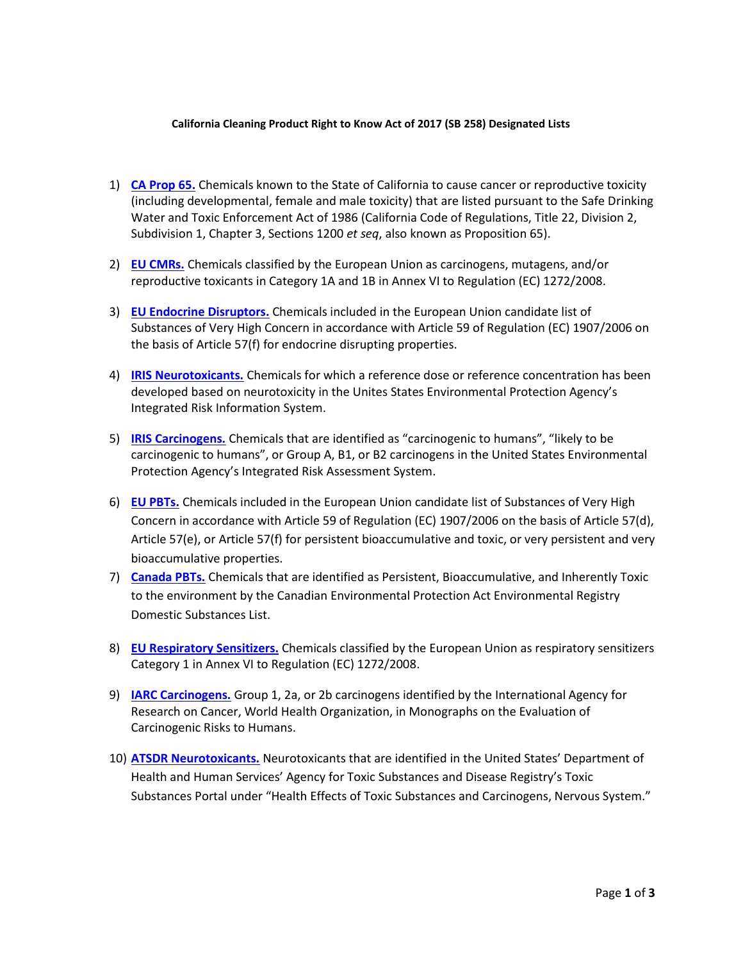## **California Cleaning Product Right to Know Act of 2017 (SB 258) Designated Lists**

- 1) **[CA Prop 65.](https://oehha.ca.gov/proposition-65/proposition-65-list)** Chemicals known to the State of California to cause cancer or reproductive toxicity (including developmental, female and male toxicity) that are listed pursuant to the Safe Drinking Water and Toxic Enforcement Act of 1986 (California Code of Regulations, Title 22, Division 2, Subdivision 1, Chapter 3, Sections 1200 *et seq*, also known as Proposition 65).
- 2) **[EU CMRs.](https://echa.europa.eu/documents/10162/13562/cmr_report_en.pdf)** Chemicals classified by the European Union as carcinogens, mutagens, and/or reproductive toxicants in Category 1A and 1B in Annex VI to Regulation (EC) 1272/2008.
- 3) **[EU Endocrine Disruptors.](https://echa.europa.eu/candidate-list-table)** Chemicals included in the European Union candidate list of Substances of Very High Concern in accordance with Article 59 of Regulation (EC) 1907/2006 on the basis of Article 57(f) for endocrine disrupting properties.
- 4) **[IRIS Neurotoxicants.](https://cfpub.epa.gov/ncea/iris/search/index.cfm?sys_joint=11)** Chemicals for which a reference dose or reference concentration has been developed based on neurotoxicity in the Unites States Environmental Protection Agency's Integrated Risk Information System.
- 5) **[IRIS Carcinogens.](https://cfpub.epa.gov/ncea/iris/search/index.cfm?sys_joint=11)** Chemicals that are identified as "carcinogenic to humans", "likely to be carcinogenic to humans", or Group A, B1, or B2 carcinogens in the United States Environmental Protection Agency's Integrated Risk Assessment System.
- 6) **[EU PBTs.](https://echa.europa.eu/candidate-list-table)** Chemicals included in the European Union candidate list of Substances of Very High Concern in accordance with Article 59 of Regulation (EC) 1907/2006 on the basis of Article 57(d), Article 57(e), or Article 57(f) for persistent bioaccumulative and toxic, or very persistent and very bioaccumulative properties.
- 7) **[Canada PBTs.](https://www.canada.ca/en/environment-climate-change/services/canadian-environmental-protection-act-registry/substances-list/domestic/categorization-existing.html)** Chemicals that are identified as Persistent, Bioaccumulative, and Inherently Toxic to the environment by the Canadian Environmental Protection Act Environmental Registry Domestic Substances List.
- 8) **[EU Respiratory Sensitizers.](https://echa.europa.eu/information-on-chemicals/cl-inventory-database?p_p_id=dissclinventory_WAR_dissclinventoryportlet&p_p_lifecycle=0&p_p_state=normal&p_p_mode=view&p_p_col_id=column-1&p_p_col_pos=1&p_p_col_count=2)** Chemicals classified by the European Union as respiratory sensitizers Category 1 in Annex VI to Regulation (EC) 1272/2008.
- 9) **[IARC Carcinogens.](https://monographs.iarc.fr/agents-classified-by-the-iarc/)** Group 1, 2a, or 2b carcinogens identified by the International Agency for Research on Cancer, World Health Organization, in Monographs on the Evaluation of Carcinogenic Risks to Humans.
- 10) **[ATSDR Neurotoxicants.](https://www.atsdr.cdc.gov/substances/toxorganlisting.asp?sysid=18)** Neurotoxicants that are identified in the United States' Department of Health and Human Services' Agency for Toxic Substances and Disease Registry's Toxic Substances Portal under "Health Effects of Toxic Substances and Carcinogens, Nervous System."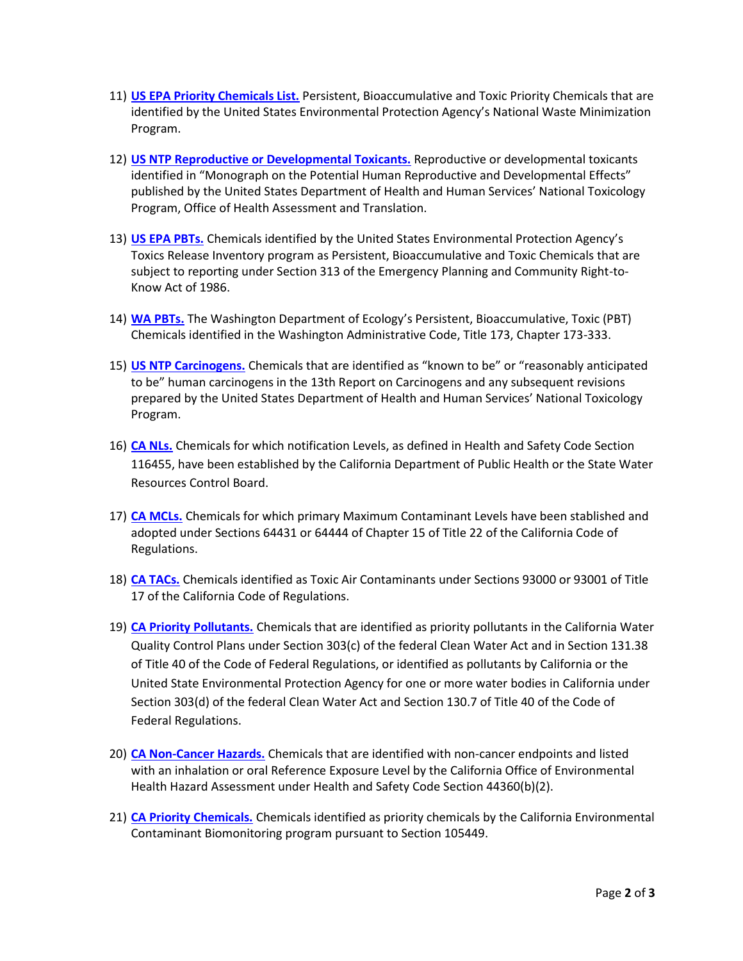- 11) **[US EPA Priority Chemicals List.](https://archive.epa.gov/epawaste/hazard/wastemin/web/html/priority.html)** Persistent, Bioaccumulative and Toxic Priority Chemicals that are identified by the United States Environmental Protection Agency's National Waste Minimization Program.
- 12) **[US NTP Reproductive or Developmental Toxicants.](https://ntp.niehs.nih.gov/pubhealth/hat/noms/evals.html)** Reproductive or developmental toxicants identified in "Monograph on the Potential Human Reproductive and Developmental Effects" published by the United States Department of Health and Human Services' National Toxicology Program, Office of Health Assessment and Translation.
- 13) **[US EPA PBTs.](https://www.epa.gov/toxics-release-inventory-tri-program/persistent-bioaccumulative-toxic-pbt-chemicals-covered-tri)** Chemicals identified by the United States Environmental Protection Agency's Toxics Release Inventory program as Persistent, Bioaccumulative and Toxic Chemicals that are subject to reporting under Section 313 of the Emergency Planning and Community Right-to-Know Act of 1986.
- 14) **[WA PBTs.](https://app.leg.wa.gov/wac/default.aspx?cite=173-333-310)** The Washington Department of Ecology's Persistent, Bioaccumulative, Toxic (PBT) Chemicals identified in the Washington Administrative Code, Title 173, Chapter 173-333.
- 15) **[US NTP Carcinogens.](https://ntp.niehs.nih.gov/pubhealth/roc/index.html)** Chemicals that are identified as "known to be" or "reasonably anticipated to be" human carcinogens in the 13th Report on Carcinogens and any subsequent revisions prepared by the United States Department of Health and Human Services' National Toxicology Program.
- 16) **[CA NLs.](https://www.waterboards.ca.gov/drinking_water/certlic/drinkingwater/documents/notificationlevels/notification_levels_response_levels_overview.pdf)** Chemicals for which notification Levels, as defined in Health and Safety Code Section 116455, have been established by the California Department of Public Health or the State Water Resources Control Board.
- 17) **[CA MCLs.](https://www.waterboards.ca.gov/drinking_water/certlic/drinkingwater/Lawbook.html)** Chemicals for which primary Maximum Contaminant Levels have been stablished and adopted under Sections 64431 or 64444 of Chapter 15 of Title 22 of the California Code of Regulations.
- 18) **[CA TACs.](https://www.arb.ca.gov/toxics/id/taclist.htm)** Chemicals identified as Toxic Air Contaminants under Sections 93000 or 93001 of Title 17 of the California Code of Regulations.
- 19) **[CA Priority Pollutants.](https://www.waterboards.ca.gov/water_issues/programs/tmdl/integrated2012.shtml)** Chemicals that are identified as priority pollutants in the California Water Quality Control Plans under Section 303(c) of the federal Clean Water Act and in Section 131.38 of Title 40 of the Code of Federal Regulations, or identified as pollutants by California or the United State Environmental Protection Agency for one or more water bodies in California under Section 303(d) of the federal Clean Water Act and Section 130.7 of Title 40 of the Code of Federal Regulations.
- 20) **[CA Non-Cancer Hazards.](https://oehha.ca.gov/air/general-info/oehha-acute-8-hour-and-chronic-reference-exposure-level-rel-summary)** Chemicals that are identified with non-cancer endpoints and listed with an inhalation or oral Reference Exposure Level by the California Office of Environmental Health Hazard Assessment under Health and Safety Code Section 44360(b)(2).
- 21) **[CA Priority Chemicals.](https://biomonitoring.ca.gov/chemicals/priority-chemicals)** Chemicals identified as priority chemicals by the California Environmental Contaminant Biomonitoring program pursuant to Section 105449.